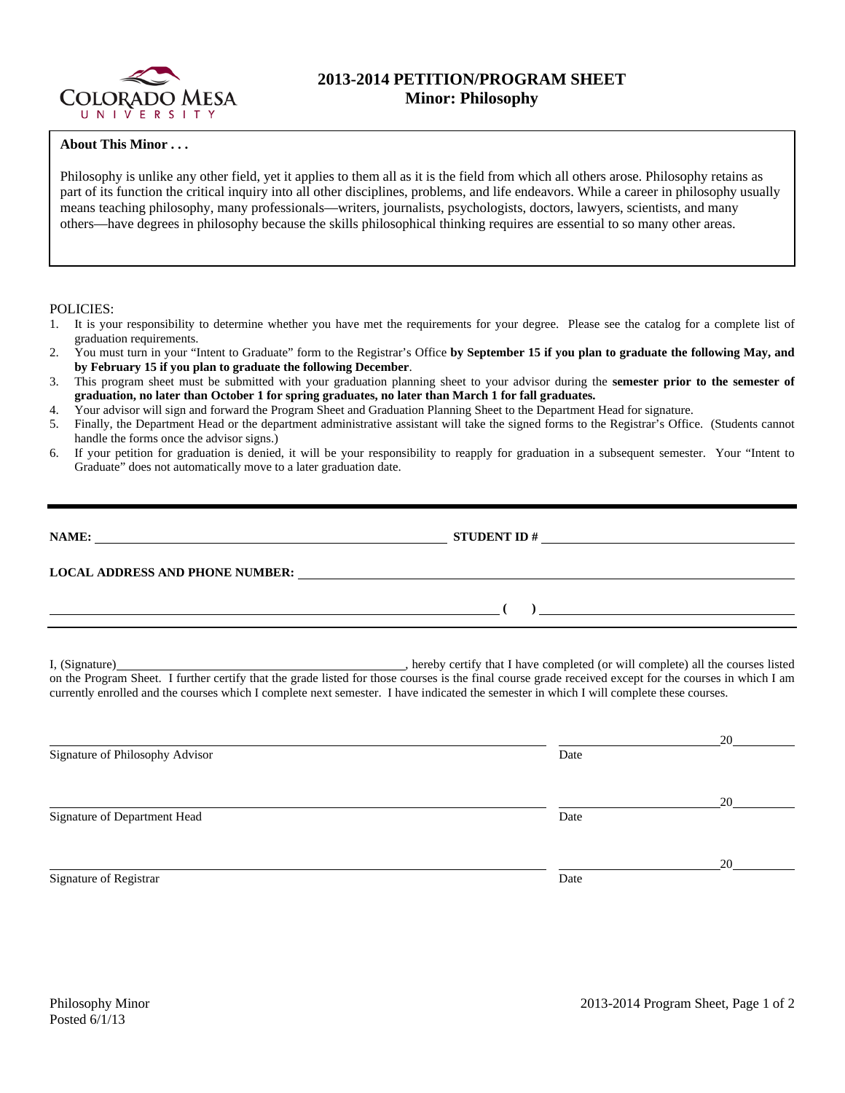

# **2013-2014 PETITION/PROGRAM SHEET Minor: Philosophy**

### **About This Minor . . .**

Philosophy is unlike any other field, yet it applies to them all as it is the field from which all others arose. Philosophy retains as part of its function the critical inquiry into all other disciplines, problems, and life endeavors. While a career in philosophy usually means teaching philosophy, many professionals—writers, journalists, psychologists, doctors, lawyers, scientists, and many others—have degrees in philosophy because the skills philosophical thinking requires are essential to so many other areas.

#### POLICIES:

- 1. It is your responsibility to determine whether you have met the requirements for your degree. Please see the catalog for a complete list of graduation requirements.
- 2. You must turn in your "Intent to Graduate" form to the Registrar's Office **by September 15 if you plan to graduate the following May, and by February 15 if you plan to graduate the following December**.
- 3. This program sheet must be submitted with your graduation planning sheet to your advisor during the **semester prior to the semester of graduation, no later than October 1 for spring graduates, no later than March 1 for fall graduates.**
- 4. Your advisor will sign and forward the Program Sheet and Graduation Planning Sheet to the Department Head for signature.
- 5. Finally, the Department Head or the department administrative assistant will take the signed forms to the Registrar's Office. (Students cannot handle the forms once the advisor signs.)
- 6. If your petition for graduation is denied, it will be your responsibility to reapply for graduation in a subsequent semester. Your "Intent to Graduate" does not automatically move to a later graduation date.

| NAME:                                  | <b>STUDENT ID#</b><br><u>and the state of the state of the state of the state of the state of the state of the state of the state of th</u> |
|----------------------------------------|---------------------------------------------------------------------------------------------------------------------------------------------|
| <b>LOCAL ADDRESS AND PHONE NUMBER:</b> |                                                                                                                                             |
|                                        |                                                                                                                                             |

I, (Signature) **Solution** , hereby certify that I have completed (or will complete) all the courses listed on the Program Sheet. I further certify that the grade listed for those courses is the final course grade received except for the courses in which I am currently enrolled and the courses which I complete next semester. I have indicated the semester in which I will complete these courses.

|                                 |      | 20 |
|---------------------------------|------|----|
| Signature of Philosophy Advisor | Date |    |
|                                 |      |    |
|                                 |      | 20 |
| Signature of Department Head    | Date |    |
|                                 |      |    |
|                                 |      | 20 |
| Signature of Registrar          | Date |    |
|                                 |      |    |